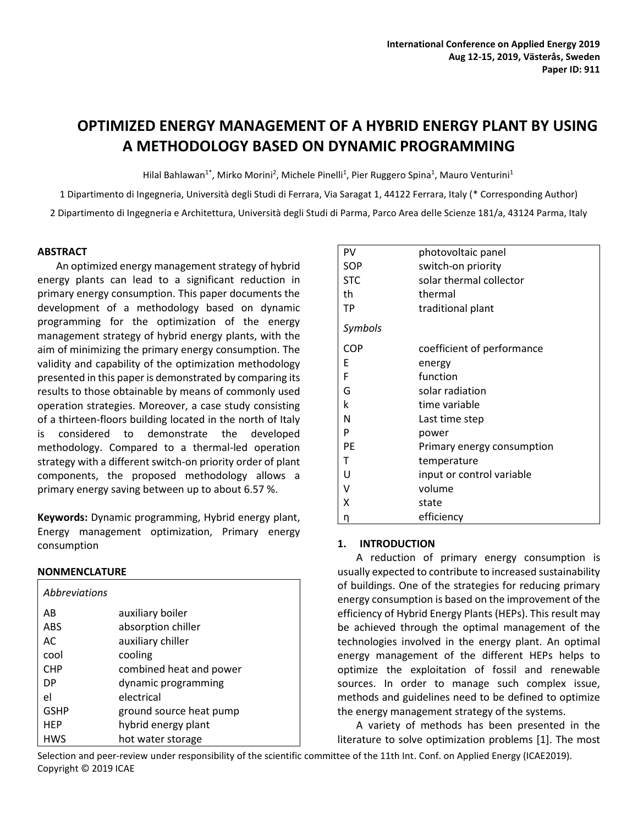# **OPTIMIZED ENERGY MANAGEMENT OF A HYBRID ENERGY PLANT BY USING A METHODOLOGY BASED ON DYNAMIC PROGRAMMING**

Hilal Bahlawan<sup>1\*</sup>, Mirko Morini<sup>2</sup>, Michele Pinelli<sup>1</sup>, Pier Ruggero Spina<sup>1</sup>, Mauro Venturini<sup>1</sup>

1 Dipartimento di Ingegneria, Università degli Studi di Ferrara, Via Saragat 1, 44122 Ferrara, Italy (\* Corresponding Author)

2 Dipartimento di Ingegneria e Architettura, Università degli Studi di Parma, Parco Area delle Scienze 181/a, 43124 Parma, Italy

## **ABSTRACT**

An optimized energy management strategy of hybrid energy plants can lead to a significant reduction in primary energy consumption. This paper documents the development of a methodology based on dynamic programming for the optimization of the energy management strategy of hybrid energy plants, with the aim of minimizing the primary energy consumption. The validity and capability of the optimization methodology presented in this paper is demonstrated by comparing its results to those obtainable by means of commonly used operation strategies. Moreover, a case study consisting of a thirteen-floors building located in the north of Italy is considered to demonstrate the developed methodology. Compared to a thermal-led operation strategy with a different switch-on priority order of plant components, the proposed methodology allows a primary energy saving between up to about 6.57 %.

**Keywords:** Dynamic programming, Hybrid energy plant, Energy management optimization, Primary energy consumption

## **NONMENCLATURE**

| <i>Abbreviations</i> |                         |
|----------------------|-------------------------|
| AB                   | auxiliary boiler        |
| <b>ABS</b>           | absorption chiller      |
| AC                   | auxiliary chiller       |
| cool                 | cooling                 |
| <b>CHP</b>           | combined heat and power |
| DP                   | dynamic programming     |
| el                   | electrical              |
| <b>GSHP</b>          | ground source heat pump |
| <b>HEP</b>           | hybrid energy plant     |
| <b>HWS</b>           | hot water storage       |

| PV         | photovoltaic panel         |  |  |  |
|------------|----------------------------|--|--|--|
| SOP        | switch-on priority         |  |  |  |
| <b>STC</b> | solar thermal collector    |  |  |  |
| th         | thermal                    |  |  |  |
| TP         | traditional plant          |  |  |  |
| Symbols    |                            |  |  |  |
| <b>COP</b> | coefficient of performance |  |  |  |
| E          | energy                     |  |  |  |
| F          | function                   |  |  |  |
| G          | solar radiation            |  |  |  |
| k          | time variable              |  |  |  |
| Ν          | Last time step             |  |  |  |
| P          | power                      |  |  |  |
| PE         | Primary energy consumption |  |  |  |
| т          | temperature                |  |  |  |
| U          | input or control variable  |  |  |  |
| V          | volume                     |  |  |  |
| x          | state                      |  |  |  |
| η          | efficiency                 |  |  |  |

## **1. INTRODUCTION**

A reduction of primary energy consumption is usually expected to contribute to increased sustainability of buildings. One of the strategies for reducing primary energy consumption is based on the improvement of the efficiency of Hybrid Energy Plants (HEPs). This result may be achieved through the optimal management of the technologies involved in the energy plant. An optimal energy management of the different HEPs helps to optimize the exploitation of fossil and renewable sources. In order to manage such complex issue, methods and guidelines need to be defined to optimize the energy management strategy of the systems.

A variety of methods has been presented in the literature to solve optimization problems [1]. The most

Selection and peer-review under responsibility of the scientific committee of the 11th Int. Conf. on Applied Energy (ICAE2019). Copyright © 2019 ICAE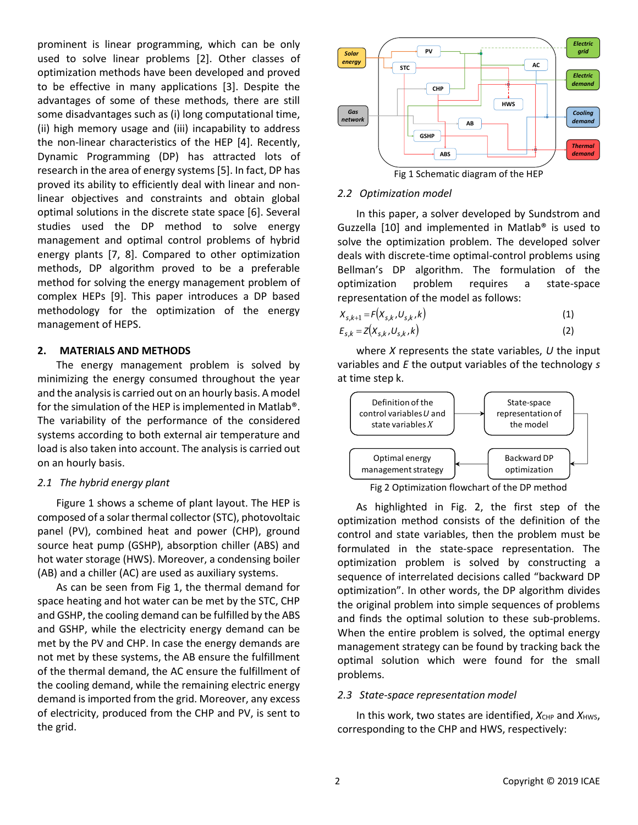prominent is linear programming, which can be only used to solve linear problems [2]. Other classes of optimization methods have been developed and proved to be effective in many applications [3]. Despite the advantages of some of these methods, there are still some disadvantages such as (i) long computational time, (ii) high memory usage and (iii) incapability to address the non-linear characteristics of the HEP [4]. Recently, Dynamic Programming (DP) has attracted lots of research in the area of energy systems [5]. In fact, DP has proved its ability to efficiently deal with linear and nonlinear objectives and constraints and obtain global optimal solutions in the discrete state space [6]. Several studies used the DP method to solve energy management and optimal control problems of hybrid energy plants [7, 8]. Compared to other optimization methods, DP algorithm proved to be a preferable method for solving the energy management problem of complex HEPs [9]. This paper introduces a DP based methodology for the optimization of the energy management of HEPS.

## **2. MATERIALS AND METHODS**

The energy management problem is solved by minimizing the energy consumed throughout the year and the analysis is carried out on an hourly basis. A model for the simulation of the HEP is implemented in Matlab®. The variability of the performance of the considered systems according to both external air temperature and load is also taken into account. The analysis is carried out on an hourly basis.

#### *2.1 The hybrid energy plant*

Figure 1 shows a scheme of plant layout. The HEP is composed of a solar thermal collector (STC), photovoltaic panel (PV), combined heat and power (CHP), ground source heat pump (GSHP), absorption chiller (ABS) and hot water storage (HWS). Moreover, a condensing boiler (AB) and a chiller (AC) are used as auxiliary systems.

As can be seen from Fig 1, the thermal demand for space heating and hot water can be met by the STC, CHP and GSHP, the cooling demand can be fulfilled by the ABS and GSHP, while the electricity energy demand can be met by the PV and CHP. In case the energy demands are not met by these systems, the AB ensure the fulfillment of the thermal demand, the AC ensure the fulfillment of the cooling demand, while the remaining electric energy demand is imported from the grid. Moreover, any excess of electricity, produced from the CHP and PV, is sent to the grid.



Fig 1 Schematic diagram of the HEP

#### *2.2 Optimization model*

In this paper, a solver developed by Sundstrom and Guzzella [10] and implemented in Matlab® is used to solve the optimization problem. The developed solver deals with discrete-time optimal-control problems using Bellman's DP algorithm. The formulation of the optimization problem requires a state-space representation of the model as follows:

$$
X_{s,k+1} = F(X_{s,k}, U_{s,k}, k) \tag{1}
$$

$$
E_{s,k} = Z(X_{s,k}, U_{s,k}, k) \tag{2}
$$

where *X* represents the state variables, *U* the input variables and *E* the output variables of the technology *s* at time step k.



Fig 2 Optimization flowchart of the DP method

As highlighted in Fig. 2, the first step of the optimization method consists of the definition of the control and state variables, then the problem must be formulated in the state-space representation. The optimization problem is solved by constructing a sequence of interrelated decisions called "backward DP optimization". In other words, the DP algorithm divides the original problem into simple sequences of problems and finds the optimal solution to these sub-problems. When the entire problem is solved, the optimal energy management strategy can be found by tracking back the optimal solution which were found for the small problems.

#### *2.3 State-space representation model*

In this work, two states are identified,  $X_{CHP}$  and  $X_{HWS}$ , corresponding to the CHP and HWS, respectively: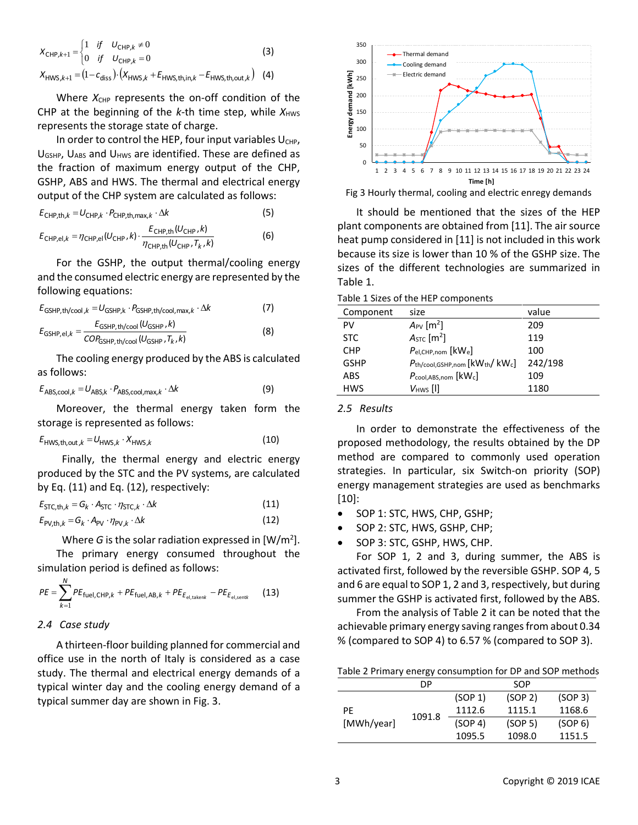$$
X_{\text{CHP},k+1} = \begin{cases} 1 & \text{if} & U_{\text{CHP},k} \neq 0 \\ 0 & \text{if} & U_{\text{CHP},k} = 0 \end{cases}
$$
(3)  

$$
X_{\text{HWS},k+1} = (1 - c_{\text{diss}}) \cdot (X_{\text{HWS},k} + E_{\text{HWS},\text{th,in},k} - E_{\text{HWS},\text{th,out},k})
$$
(4)

Where  $X_{CHP}$  represents the on-off condition of the CHP at the beginning of the  $k$ -th time step, while  $X_{HWS}$ represents the storage state of charge.

In order to control the HEP, four input variables  $U_{CHP}$ , U<sub>GSHP</sub>, U<sub>ABS</sub> and U<sub>HWS</sub> are identified. These are defined as the fraction of maximum energy output of the CHP, GSHP, ABS and HWS. The thermal and electrical energy output of the CHP system are calculated as follows:

$$
E_{\text{CHP,th},k} = U_{\text{CHP},k} \cdot P_{\text{CHP,th,max},k} \cdot \Delta k \tag{5}
$$

$$
E_{\text{CHP,el},k} = \eta_{\text{CHP,el}}(U_{\text{CHP}},k) \cdot \frac{E_{\text{CHP,th}}(U_{\text{CHP}},k)}{\eta_{\text{CHP,th}}(U_{\text{CHP}},T_k,k)}\tag{6}
$$

For the GSHP, the output thermal/cooling energy and the consumed electric energy are represented by the following equations:

$$
E_{\text{GSHP,th/cool},k} = U_{\text{GSHP},k} \cdot P_{\text{GSHP,th/cool,max},k} \cdot \Delta k \tag{7}
$$

$$
E_{\text{GSHP,el},k} = \frac{E_{\text{GSHP,th/cool}}(U_{\text{GSHP}},k)}{COP_{\text{GSHP,th/cool}}(U_{\text{GSHP}},T_k,k)}
$$
(8)

The cooling energy produced by the ABS is calculated as follows:

$$
E_{\text{ABS,cool},k} = U_{\text{ABS,k}} \cdot P_{\text{ABS,cool,max},k} \cdot \Delta k \tag{9}
$$

Moreover, the thermal energy taken form the storage is represented as follows:

$$
E_{\text{HWS,th,out},k} = U_{\text{HWS},k} \cdot X_{\text{HWS},k} \tag{10}
$$

Finally, the thermal energy and electric energy produced by the STC and the PV systems, are calculated by Eq. (11) and Eq. (12), respectively:

$$
E_{\text{STC},\text{th},k} = G_k \cdot A_{\text{STC}} \cdot \eta_{\text{STC},k} \cdot \Delta k \tag{11}
$$

$$
E_{\text{PV,th},k} = G_k \cdot A_{\text{PV}} \cdot \eta_{\text{PV},k} \cdot \Delta k \tag{12}
$$

Where  $G$  is the solar radiation expressed in  $[W/m^2]$ .

The primary energy consumed throughout the simulation period is defined as follows:

$$
PE = \sum_{k=1}^{N} PE_{\text{fuel,CHP},k} + PE_{\text{fuel,AB},k} + PE_{E_{\text{el,taken}}} - PE_{E_{\text{el,search}}}
$$
(13)

## *2.4 Case study*

A thirteen-floor building planned for commercial and office use in the north of Italy is considered as a case study. The thermal and electrical energy demands of a typical winter day and the cooling energy demand of a typical summer day are shown in Fig. 3.



Fig 3 Hourly thermal, cooling and electric enregy demands

It should be mentioned that the sizes of the HEP plant components are obtained from [11]. The air source heat pump considered in [11] is not included in this work because its size is lower than 10 % of the GSHP size. The sizes of the different technologies are summarized in Table 1.

|  |  |  |  | Table 1 Sizes of the HEP components |
|--|--|--|--|-------------------------------------|
|--|--|--|--|-------------------------------------|

| Component   | size                                                                                    | value   |
|-------------|-----------------------------------------------------------------------------------------|---------|
| PV          | $A_{PV}$ [m <sup>2</sup> ]                                                              | 209     |
| <b>STC</b>  | $ASTC$ [m <sup>2</sup> ]                                                                | 119     |
| <b>CHP</b>  | $P_{el,CHP,nom}$ [ $kWe$ ]                                                              | 100     |
| <b>GSHP</b> | $P_{\text{th}/\text{cool},\text{GSHP},\text{nom}}$ [kW <sub>th</sub> /kW <sub>c</sub> ] | 242/198 |
| ABS         | $P_{\text{cool,ABS,nom}}$ [ $\text{kWc}$ ]                                              | 109     |
| <b>HWS</b>  | $V_{HWS}$ [I]                                                                           | 1180    |
|             |                                                                                         |         |

# *2.5 Results*

In order to demonstrate the effectiveness of the proposed methodology, the results obtained by the DP method are compared to commonly used operation strategies. In particular, six Switch-on priority (SOP) energy management strategies are used as benchmarks [10]:

- SOP 1: STC, HWS, CHP, GSHP;
- SOP 2: STC, HWS, GSHP, CHP;
- SOP 3: STC, GSHP, HWS, CHP.

For SOP 1, 2 and 3, during summer, the ABS is activated first, followed by the reversible GSHP. SOP 4, 5 and 6 are equal to SOP 1, 2 and 3, respectively, but during summer the GSHP is activated first, followed by the ABS.

From the analysis of Table 2 it can be noted that the achievable primary energy saving ranges from about 0.34 % (compared to SOP 4) to 6.57 % (compared to SOP 3).

Table 2 Primary energy consumption for DP and SOP methods

|                  | DΡ     |         | <b>SOP</b>          |         |
|------------------|--------|---------|---------------------|---------|
| PF<br>[MWh/year] | 1091.8 | (SOP 1) | (SOP <sub>2</sub> ) | (SOP 3) |
|                  |        | 1112.6  | 1115.1              | 1168.6  |
|                  |        | (SOP 4) | (SOP <sub>5</sub> ) | (SOP 6) |
|                  |        | 1095.5  | 1098.0              | 1151.5  |